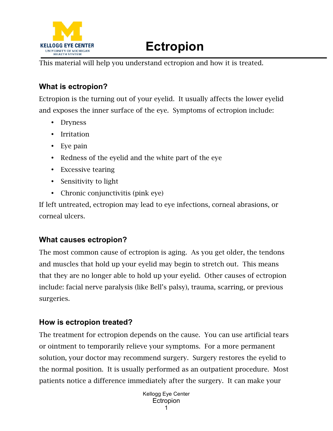

## **Ectropion**

This material will help you understand ectropion and how it is treated.

## **What is ectropion?**

Ectropion is the turning out of your eyelid. It usually affects the lower eyelid and exposes the inner surface of the eye. Symptoms of ectropion include:

- Dryness
- Irritation
- Eye pain
- Redness of the eyelid and the white part of the eye
- Excessive tearing
- Sensitivity to light
- Chronic conjunctivitis (pink eye)

If left untreated, ectropion may lead to eye infections, corneal abrasions, or corneal ulcers.

## **What causes ectropion?**

The most common cause of ectropion is aging. As you get older, the tendons and muscles that hold up your eyelid may begin to stretch out. This means that they are no longer able to hold up your eyelid. Other causes of ectropion include: facial nerve paralysis (like Bell's palsy), trauma, scarring, or previous surgeries.

## **How is ectropion treated?**

The treatment for ectropion depends on the cause. You can use artificial tears or ointment to temporarily relieve your symptoms. For a more permanent solution, your doctor may recommend surgery. Surgery restores the eyelid to the normal position. It is usually performed as an outpatient procedure. Most patients notice a difference immediately after the surgery. It can make your